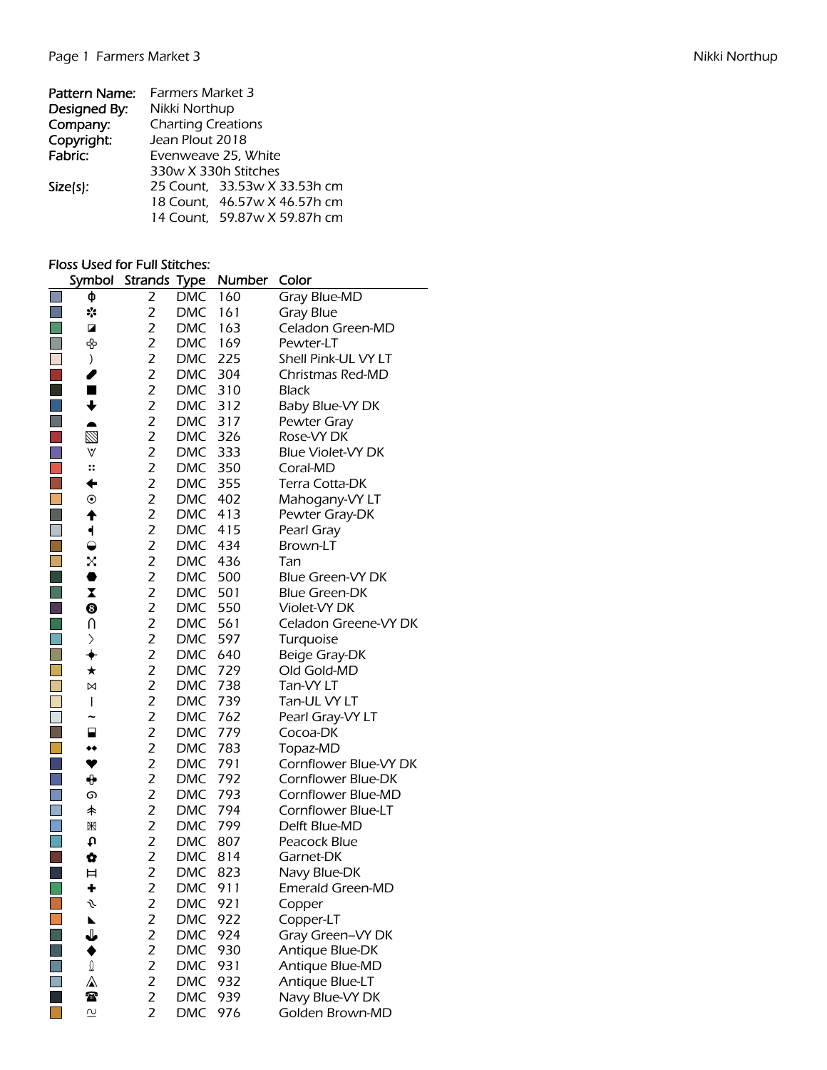| Pattern Name: | <b>Farmers Market 3</b>      |  |  |  |  |  |  |  |  |
|---------------|------------------------------|--|--|--|--|--|--|--|--|
| Designed By:  | Nikki Northup                |  |  |  |  |  |  |  |  |
| Company:      | <b>Charting Creations</b>    |  |  |  |  |  |  |  |  |
| Copyright:    | Jean Plout 2018              |  |  |  |  |  |  |  |  |
| Fabric:       | Evenweave 25, White          |  |  |  |  |  |  |  |  |
|               | 330w X 330h Stitches         |  |  |  |  |  |  |  |  |
| $Size(s)$ :   | 25 Count, 33.53w X 33.53h cm |  |  |  |  |  |  |  |  |
|               | 18 Count, 46.57w X 46.57h cm |  |  |  |  |  |  |  |  |
|               | 14 Count, 59.87w X 59.87h cm |  |  |  |  |  |  |  |  |
|               |                              |  |  |  |  |  |  |  |  |

## Floss Used for Full Stitches:

|                             | Symbol                   | <b>Strands Type</b> |            | Number | Color                    |
|-----------------------------|--------------------------|---------------------|------------|--------|--------------------------|
|                             | ф                        | 2                   | <b>DMC</b> | 160    | Gray Blue-MD             |
|                             | $\ddot{\phantom{a}}$     | 2                   | <b>DMC</b> | 161    | <b>Gray Blue</b>         |
| $\mathcal{L}_{\mathcal{A}}$ | Z                        | $\overline{2}$      | <b>DMC</b> | 163    | Celadon Green-MD         |
| $\Box$                      | ♧                        | $\overline{2}$      | <b>DMC</b> | 169    | Pewter-LT                |
|                             | )                        | $\overline{2}$      | <b>DMC</b> | 225    | Shell Pink-UL VY LT      |
|                             | ℐ                        | $\overline{2}$      | <b>DMC</b> | 304    | Christmas Red-MD         |
|                             | Ш                        | $\overline{2}$      | <b>DMC</b> | 310    | <b>Black</b>             |
| $\mathbb{R}^n$              | $\ddot{\phantom{1}}$     | $\overline{2}$      | <b>DMC</b> | 312    | Baby Blue-VY DK          |
| $\Box$                      |                          | $\overline{2}$      | <b>DMC</b> | 317    | Pewter Gray              |
| $\mathcal{L}_{\mathcal{A}}$ | Ø                        | $\overline{2}$      | <b>DMC</b> | 326    | Rose-VY DK               |
| $\Box$                      | $\forall$                | $\overline{2}$      | <b>DMC</b> | 333    | <b>Blue Violet-VY DK</b> |
| $\mathcal{L}_{\mathcal{A}}$ | $\vdots$                 | $\overline{2}$      | <b>DMC</b> | 350    | Coral-MD                 |
| $\mathcal{C}^{\mathcal{A}}$ | ←                        | $\overline{2}$      | <b>DMC</b> | 355    | Terra Cotta-DK           |
|                             | $\odot$                  | $\overline{2}$      | <b>DMC</b> | 402    | Mahogany-VY LT           |
| H                           | ♠                        | $\overline{2}$      | <b>DMC</b> | 413    | Pewter Gray-DK           |
| $\Box$                      | ┥                        | $\overline{2}$      | <b>DMC</b> | 415    | Pearl Gray               |
| $\Box$                      | $\Theta$                 | 2                   | <b>DMC</b> | 434    | Brown-LT                 |
| $\overline{\mathbb{R}^2}$   | X                        | 2                   | <b>DMC</b> | 436    | Tan                      |
| $\mathcal{L}_{\mathcal{A}}$ | 0                        | $\overline{2}$      | <b>DMC</b> | 500    | Blue Green-VY DK         |
| $\mathbb{R}^n$              | $\overline{\mathbf{X}}$  | $\overline{2}$      | <b>DMC</b> | 501    | <b>Blue Green-DK</b>     |
| $\mathbb{R}^n$              | ❸                        | $\overline{2}$      | <b>DMC</b> | 550    | Violet-VY DK             |
| $\Box$                      | U                        | $\overline{2}$      | <b>DMC</b> | 561    | Celadon Greene-VY DK     |
| $\Box$                      | $\left. \right\rangle$   | $\overline{2}$      | <b>DMC</b> | 597    | Turquoise                |
|                             | ✦                        | $\overline{2}$      | <b>DMC</b> | 640    | Beige Gray-DK            |
|                             | $\star$                  | $\overline{2}$      | <b>DMC</b> | 729    | Old Gold-MD              |
| $\Box$                      | ⊠                        | $\overline{2}$      | <b>DMC</b> | 738    | Tan-VY LT                |
| $\Box$                      | $\overline{\phantom{a}}$ | $\overline{2}$      | <b>DMC</b> | 739    | Tan-UL VY LT             |
|                             | $\tilde{\phantom{0}}$    | $\overline{2}$      | <b>DMC</b> | 762    | Pearl Gray-VY LT         |
|                             | ₽                        | $\overline{2}$      | <b>DMC</b> | 779    | Cocoa-DK                 |
|                             | ◆◆                       | $\overline{2}$      | <b>DMC</b> | 783    | Topaz-MD                 |
|                             | ♥                        | $\overline{2}$      | <b>DMC</b> | 791    | Cornflower Blue-VY DK    |
| $\Box$                      | ⊕                        | 2                   | <b>DMC</b> | 792    | Cornflower Blue-DK       |
| $\Box$                      | ග                        | $\overline{2}$      | <b>DMC</b> | 793    | Cornflower Blue-MD       |
| $\Box$                      | 未                        | $\overline{2}$      | <b>DMC</b> | 794    | Cornflower Blue-LT       |
| $\Box$                      | Ж                        | $\overline{2}$      | <b>DMC</b> | 799    | Delft Blue-MD            |
| $\mathbb{R}^n$              | t                        | $\overline{2}$      | <b>DMC</b> | 807    | Peacock Blue             |
| $\mathbb{R}^3$              | Ø                        | $\overline{2}$      | <b>DMC</b> | 814    | Garnet-DK                |
| $\Box$                      | Ħ                        | $\overline{2}$      | <b>DMC</b> | 823    | Navy Blue-DK             |
|                             | ٠                        | 2                   | <b>DMC</b> | 911    | Emerald Green-MD         |
|                             | s                        | 2                   | <b>DMC</b> | 921    | Copper                   |
|                             |                          | 2                   | <b>DMC</b> | 922    | Copper-LT                |
|                             | ↓                        | 2                   | <b>DMC</b> | 924    | Gray Green-VY DK         |
|                             |                          | 2                   | <b>DMC</b> | 930    | Antique Blue-DK          |
|                             | I                        | $\overline{2}$      | <b>DMC</b> | 931    | Antique Blue-MD          |
|                             | ⚠                        | $\overline{c}$      | <b>DMC</b> | 932    | Antique Blue-LT          |
|                             | 雷                        | $\overline{2}$      | <b>DMC</b> | 939    | Navy Blue-VY DK          |
|                             | $\overline{\mathsf{C}}$  | $\overline{2}$      | <b>DMC</b> | 976    | Golden Brown-MD          |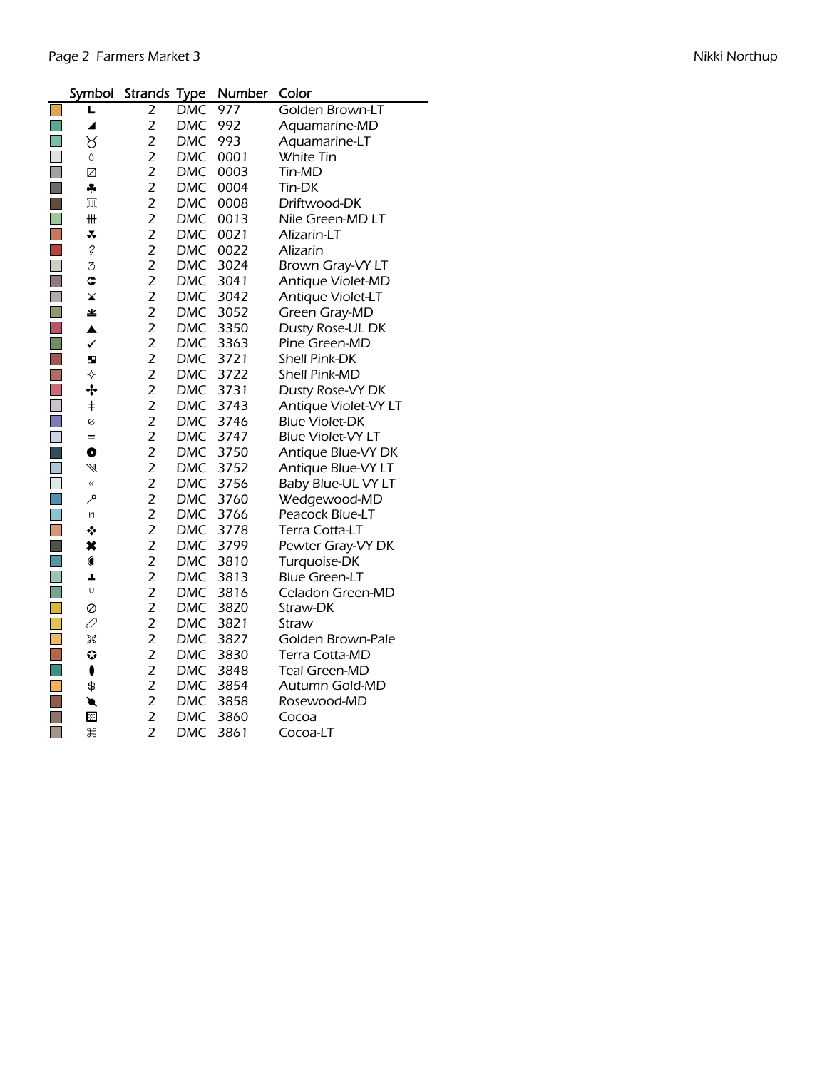| Symbol               | <b>Strands Type</b> |            | Number | Color                    |
|----------------------|---------------------|------------|--------|--------------------------|
| L                    | 2                   | <b>DMC</b> | 977    | Golden Brown-LT          |
| ◢                    | $\overline{2}$      | <b>DMC</b> | 992    | Aquamarine-MD            |
| ୪                    | $\overline{2}$      | <b>DMC</b> | 993    | Aquamarine-LT            |
| 0                    | $\overline{2}$      | <b>DMC</b> | 0001   | White Tin                |
| Ø                    | $\overline{2}$      | <b>DMC</b> | 0003   | Tin-MD                   |
| ÷                    | $\overline{2}$      | <b>DMC</b> | 0004   | Tin-DK                   |
| $\mathbb{I}$         | $\overline{2}$      | <b>DMC</b> | 0008   | Driftwood-DK             |
| ₩                    | $\overline{2}$      | <b>DMC</b> | 0013   | Nile Green-MD LT         |
| ∓                    | $\overline{2}$      | <b>DMC</b> | 0021   | Alizarin-LT              |
| $\ddot{\mathcal{E}}$ | $\overline{2}$      | <b>DMC</b> | 0022   | Alizarin                 |
| 3                    | $\overline{2}$      | <b>DMC</b> | 3024   | Brown Gray-VY LT         |
| ¢                    | $\overline{2}$      | <b>DMC</b> | 3041   | Antique Violet-MD        |
| ×                    | $\overline{c}$      | <b>DMC</b> | 3042   | Antique Violet-LT        |
| ≚                    | $\overline{2}$      | <b>DMC</b> | 3052   | Green Gray-MD            |
| $\blacktriangle$     | $\overline{2}$      | <b>DMC</b> | 3350   | Dusty Rose-UL DK         |
| $\checkmark$         | $\overline{2}$      | <b>DMC</b> | 3363   | Pine Green-MD            |
| b.                   | $\overline{2}$      | <b>DMC</b> | 3721   | <b>Shell Pink-DK</b>     |
| ♦                    | $\overline{2}$      | <b>DMC</b> | 3722   | Shell Pink-MD            |
| ÷                    | $\overline{2}$      | <b>DMC</b> | 3731   | Dusty Rose-VY DK         |
| $^\mathrm{+}$        | $\overline{2}$      | <b>DMC</b> | 3743   | Antique Violet-VY LT     |
| e                    | $\overline{2}$      | <b>DMC</b> | 3746   | <b>Blue Violet-DK</b>    |
| $=$                  | $\overline{2}$      | <b>DMC</b> | 3747   | <b>Blue Violet-VY LT</b> |
| O                    | $\overline{2}$      | <b>DMC</b> | 3750   | Antique Blue-VY DK       |
| W                    | $\overline{2}$      | <b>DMC</b> | 3752   | Antique Blue-VY LT       |
|                      | $\overline{2}$      | <b>DMC</b> | 3756   | Baby Blue-UL VY LT       |
| فر                   | $\overline{2}$      | <b>DMC</b> | 3760   | Wedgewood-MD             |
| n                    | $\overline{2}$      | <b>DMC</b> | 3766   | Peacock Blue-LT          |
| ❖                    | $\overline{2}$      | <b>DMC</b> | 3778   | Terra Cotta-LT           |
| ×                    | $\overline{2}$      | <b>DMC</b> | 3799   | Pewter Gray-VY DK        |
|                      | $\overline{2}$      | <b>DMC</b> | 3810   | Turquoise-DK             |
| A,                   | $\overline{c}$      | <b>DMC</b> | 3813   | <b>Blue Green-LT</b>     |
| U                    | $\overline{2}$      | <b>DMC</b> | 3816   | Celadon Green-MD         |
| 0                    | $\overline{2}$      | <b>DMC</b> | 3820   | Straw-DK                 |
| 0                    | $\overline{2}$      | <b>DMC</b> | 3821   | Straw                    |
| X                    | $\overline{c}$      | <b>DMC</b> | 3827   | Golden Brown-Pale        |
| $\bullet$            | $\overline{2}$      | <b>DMC</b> | 3830   | Terra Cotta-MD           |
| ı                    | $\overline{2}$      | <b>DMC</b> | 3848   | Teal Green-MD            |
| \$                   | $\overline{2}$      | <b>DMC</b> | 3854   | Autumn Gold-MD           |
| €                    | $\overline{2}$      | <b>DMC</b> | 3858   | Rosewood-MD              |
| 図                    | $\overline{2}$      | <b>DMC</b> | 3860   | Cocoa                    |
| æ                    | $\overline{2}$      | <b>DMC</b> | 3861   | Cocoa-LT                 |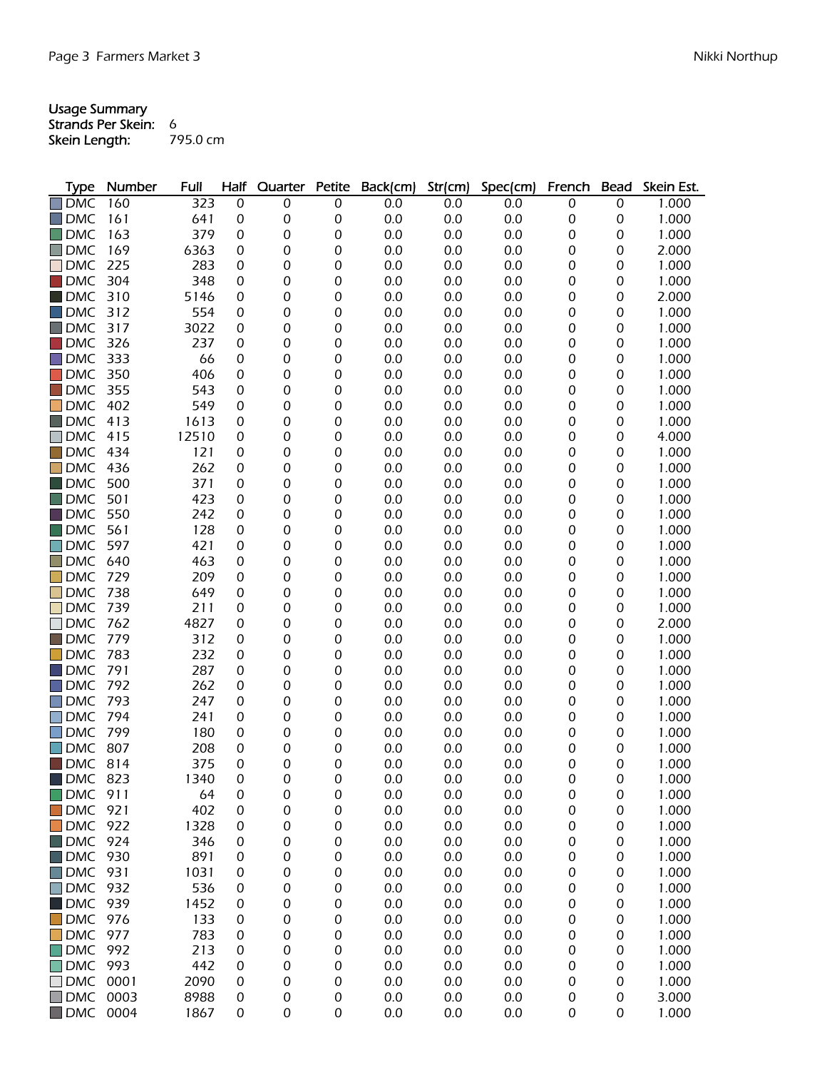## Usage Summary Strands Per Skein: 6 **Skein Length:** 795.0 cm

| Type       | Number | <b>Full</b> | Half | Quarter          | Petite           | Back(cm) | Str(cm) | Spec(cm) | French           | <b>Bead</b>      | Skein Est. |
|------------|--------|-------------|------|------------------|------------------|----------|---------|----------|------------------|------------------|------------|
| <b>DMC</b> | 160    | 323         | 0    | 0                | 0                | 0.0      | 0.0     | 0.0      | 0                | 0                | 1.000      |
| <b>DMC</b> | 161    | 641         | 0    | 0                | 0                | 0.0      | 0.0     | 0.0      | 0                | 0                | 1.000      |
| <b>DMC</b> | 163    | 379         | 0    | 0                | 0                | 0.0      | 0.0     | 0.0      | 0                | 0                | 1.000      |
| <b>DMC</b> | 169    | 6363        | 0    | $\boldsymbol{0}$ | 0                | 0.0      | 0.0     | 0.0      | 0                | 0                | 2.000      |
| <b>DMC</b> | 225    | 283         | 0    | $\boldsymbol{0}$ | 0                | 0.0      | 0.0     | 0.0      | 0                | 0                | 1.000      |
| <b>DMC</b> | 304    | 348         | 0    | $\boldsymbol{0}$ | 0                | 0.0      | 0.0     | 0.0      | 0                | 0                | 1.000      |
| <b>DMC</b> | 310    | 5146        | 0    | $\boldsymbol{0}$ | 0                | 0.0      | 0.0     | 0.0      | $\boldsymbol{0}$ | 0                | 2.000      |
| <b>DMC</b> | 312    | 554         | 0    | $\boldsymbol{0}$ | 0                | 0.0      | 0.0     | 0.0      | 0                | 0                | 1.000      |
| <b>DMC</b> | 317    | 3022        | 0    | $\boldsymbol{0}$ | 0                | 0.0      | 0.0     | 0.0      | 0                | 0                | 1.000      |
| <b>DMC</b> | 326    | 237         | 0    | 0                | 0                | 0.0      | 0.0     | 0.0      | $\boldsymbol{0}$ | 0                | 1.000      |
| <b>DMC</b> | 333    | 66          | 0    | 0                | 0                | 0.0      | 0.0     | 0.0      | 0                | 0                | 1.000      |
| <b>DMC</b> | 350    | 406         | 0    | $\boldsymbol{0}$ | 0                | 0.0      | 0.0     | 0.0      | 0                | 0                | 1.000      |
| <b>DMC</b> | 355    | 543         | 0    | $\boldsymbol{0}$ | 0                | 0.0      | 0.0     | 0.0      | 0                | 0                | 1.000      |
| <b>DMC</b> | 402    | 549         | 0    | $\mathbf 0$      | 0                | 0.0      | 0.0     | 0.0      | $\boldsymbol{0}$ | 0                | 1.000      |
| <b>DMC</b> | 413    | 1613        | 0    | $\mathbf 0$      | 0                | 0.0      | 0.0     | 0.0      | $\boldsymbol{0}$ | 0                | 1.000      |
| <b>DMC</b> | 415    | 12510       | 0    | $\boldsymbol{0}$ | 0                | 0.0      | 0.0     | 0.0      | 0                | 0                | 4.000      |
| <b>DMC</b> | 434    | 121         | 0    | $\boldsymbol{0}$ | 0                | 0.0      | 0.0     | 0.0      | 0                | 0                | 1.000      |
| <b>DMC</b> | 436    | 262         | 0    | $\boldsymbol{0}$ | 0                | 0.0      | 0.0     | 0.0      | 0                | 0                | 1.000      |
| <b>DMC</b> | 500    | 371         | 0    | $\boldsymbol{0}$ | 0                | 0.0      | 0.0     | 0.0      | 0                | 0                | 1.000      |
| <b>DMC</b> | 501    | 423         | 0    | $\boldsymbol{0}$ | 0                | 0.0      | 0.0     | 0.0      | 0                | 0                | 1.000      |
| <b>DMC</b> | 550    | 242         | 0    | $\boldsymbol{0}$ | 0                | 0.0      | 0.0     | 0.0      | 0                | 0                | 1.000      |
| <b>DMC</b> | 561    | 128         | 0    | $\boldsymbol{0}$ | 0                | 0.0      | 0.0     | 0.0      | 0                | 0                | 1.000      |
| <b>DMC</b> | 597    | 421         | 0    | 0                | 0                | 0.0      | 0.0     | 0.0      | 0                | 0                | 1.000      |
| <b>DMC</b> | 640    | 463         | 0    | 0                | 0                | 0.0      | 0.0     | 0.0      | 0                | 0                | 1.000      |
| <b>DMC</b> | 729    | 209         | 0    | $\boldsymbol{0}$ | 0                | 0.0      | 0.0     | 0.0      | 0                | 0                | 1.000      |
| <b>DMC</b> | 738    | 649         | 0    | $\boldsymbol{0}$ | 0                | 0.0      | 0.0     | 0.0      | 0                | 0                | 1.000      |
| <b>DMC</b> | 739    | 211         | 0    | $\mathbf 0$      | 0                | 0.0      | 0.0     | 0.0      | $\boldsymbol{0}$ | 0                | 1.000      |
| <b>DMC</b> | 762    | 4827        | 0    | $\mathbf 0$      | 0                | 0.0      | 0.0     | 0.0      | $\boldsymbol{0}$ | 0                | 2.000      |
| <b>DMC</b> | 779    | 312         | 0    | $\boldsymbol{0}$ | 0                | 0.0      | 0.0     | 0.0      | 0                | 0                | 1.000      |
| <b>DMC</b> | 783    | 232         | 0    | $\boldsymbol{0}$ | 0                | 0.0      | 0.0     | 0.0      | 0                | 0                | 1.000      |
| <b>DMC</b> | 791    | 287         | 0    | $\boldsymbol{0}$ | 0                | 0.0      | 0.0     | 0.0      | 0                | 0                | 1.000      |
| <b>DMC</b> | 792    | 262         | 0    | $\boldsymbol{0}$ | 0                | 0.0      | 0.0     | 0.0      | $\boldsymbol{0}$ | 0                | 1.000      |
| <b>DMC</b> | 793    | 247         | 0    | $\boldsymbol{0}$ | 0                | 0.0      | 0.0     | 0.0      | 0                | 0                | 1.000      |
| <b>DMC</b> | 794    | 241         | 0    | 0                | 0                | 0.0      | 0.0     | 0.0      | 0                | 0                | 1.000      |
| <b>DMC</b> | 799    | 180         | 0    | 0                | 0                | 0.0      | 0.0     | 0.0      | 0                | 0                | 1.000      |
| <b>DMC</b> | 807    | 208         | 0    | 0                | 0                | 0.0      | 0.0     | 0.0      | 0                | 0                | 1.000      |
| <b>DMC</b> | 814    | 375         | 0    | $\mathbf 0$      | 0                | 0.0      | 0.0     | 0.0      | 0                | 0                | 1.000      |
| <b>DMC</b> | 823    | 1340        | 0    | 0                | 0                | 0.0      | 0.0     | 0.0      | 0                | 0                | 1.000      |
| <b>DMC</b> | 911    | 64          | 0    | 0                | 0                | 0.0      | 0.0     | 0.0      | 0                | $\boldsymbol{0}$ | 1.000      |
| <b>DMC</b> | 921    | 402         | 0    | $\boldsymbol{0}$ | 0                | 0.0      | 0.0     | 0.0      | 0                | 0                | 1.000      |
| <b>DMC</b> | 922    | 1328        | 0    | 0                | 0                | 0.0      | 0.0     | 0.0      | 0                | 0                | 1.000      |
| <b>DMC</b> | 924    | 346         | 0    | 0                | 0                | 0.0      | 0.0     | 0.0      | 0                | 0                | 1.000      |
| <b>DMC</b> | 930    | 891         | 0    | 0                | 0                | 0.0      | 0.0     | 0.0      | 0                | 0                | 1.000      |
| <b>DMC</b> | 931    | 1031        | 0    | 0                | 0                | 0.0      | 0.0     | 0.0      | 0                | 0                | 1.000      |
| DMC        | 932    | 536         | 0    | 0                | 0                | 0.0      | 0.0     | 0.0      | 0                | 0                | 1.000      |
| <b>DMC</b> | 939    | 1452        | 0    | 0                | 0                | 0.0      | 0.0     | 0.0      | 0                | 0                | 1.000      |
| <b>DMC</b> | 976    | 133         | 0    | 0                | 0                | 0.0      | 0.0     | 0.0      | 0                | 0                | 1.000      |
| <b>DMC</b> | 977    | 783         | 0    | 0                | 0                | 0.0      | 0.0     | 0.0      | 0                | 0                | 1.000      |
| <b>DMC</b> | 992    | 213         | 0    | 0                | 0                | 0.0      | 0.0     | 0.0      | 0                | 0                | 1.000      |
| <b>DMC</b> | 993    | 442         | 0    | 0                | 0                | 0.0      | 0.0     | 0.0      | 0                | 0                | 1.000      |
| <b>DMC</b> | 0001   | 2090        | 0    | 0                | 0                | 0.0      | 0.0     | 0.0      | 0                | 0                | 1.000      |
| <b>DMC</b> | 0003   | 8988        | 0    | $\mathbf 0$      | $\boldsymbol{0}$ | 0.0      | 0.0     | 0.0      | 0                | 0                | 3.000      |

DMC 0004 1867 0 0 0 0.0 0.0 0.0 0 0 1.000